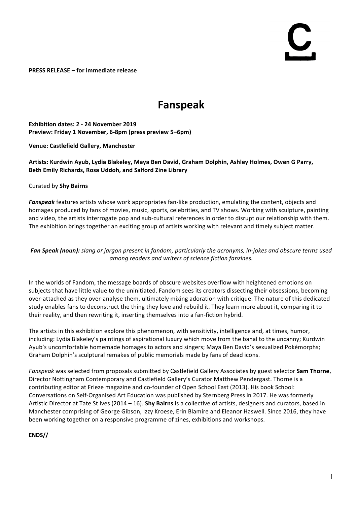# 

**PRESS RELEASE – for immediate release** 

## **Fanspeak**

**Exhibition dates: 2 - 24 November 2019 Preview: Friday 1 November, 6-8pm (press preview 5–6pm)** 

**Venue: Castlefield Gallery, Manchester**

#### Artists: Kurdwin Ayub, Lydia Blakeley, Maya Ben David, Graham Dolphin, Ashley Holmes, Owen G Parry, **Beth Emily Richards, Rosa Uddoh, and Salford Zine Library**

#### Curated by **Shy Bairns**

**Fanspeak** features artists whose work appropriates fan-like production, emulating the content, objects and homages produced by fans of movies, music, sports, celebrities, and TV shows. Working with sculpture, painting and video, the artists interrogate pop and sub-cultural references in order to disrupt our relationship with them. The exhibition brings together an exciting group of artists working with relevant and timely subject matter.

#### **Fan Speak (noun):** slang or jargon present in fandom, particularly the acronyms, in-jokes and obscure terms used *among readers and writers of science fiction fanzines.*

In the worlds of Fandom, the message boards of obscure websites overflow with heightened emotions on subjects that have little value to the uninitiated. Fandom sees its creators dissecting their obsessions, becoming over-attached as they over-analyse them, ultimately mixing adoration with critique. The nature of this dedicated study enables fans to deconstruct the thing they love and rebuild it. They learn more about it, comparing it to their reality, and then rewriting it, inserting themselves into a fan-fiction hybrid.

The artists in this exhibition explore this phenomenon, with sensitivity, intelligence and, at times, humor, including: Lydia Blakeley's paintings of aspirational luxury which move from the banal to the uncanny; Kurdwin Ayub's uncomfortable homemade homages to actors and singers; Maya Ben David's sexualized Pokémorphs; Graham Dolphin's sculptural remakes of public memorials made by fans of dead icons.

*Fanspeak* was selected from proposals submitted by Castlefield Gallery Associates by guest selector **Sam Thorne**, Director Nottingham Contemporary and Castlefield Gallery's Curator Matthew Pendergast. Thorne is a contributing editor at Frieze magazine and co-founder of Open School East (2013). His book School: Conversations on Self-Organised Art Education was published by Sternberg Press in 2017. He was formerly Artistic Director at Tate St Ives (2014 – 16). **Shy Bairns** is a collective of artists, designers and curators, based in Manchester comprising of George Gibson, Izzy Kroese, Erin Blamire and Eleanor Haswell. Since 2016, they have been working together on a responsive programme of zines, exhibitions and workshops.

#### **ENDS//**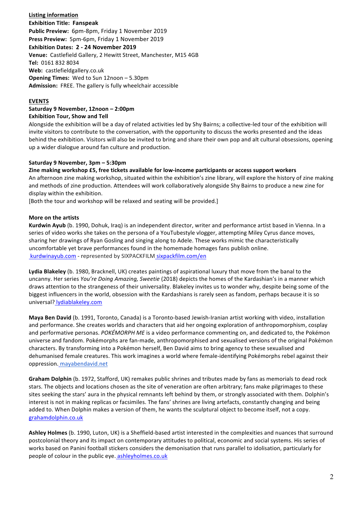**Listing information Exhibition Title: Fanspeak** Public Preview: 6pm-8pm, Friday 1 November 2019 Press Preview: 5pm-6pm, Friday 1 November 2019 **Exhibition Dates: 2 - 24 November 2019** Venue: Castlefield Gallery, 2 Hewitt Street, Manchester, M15 4GB **Tel:**  0161 832 8034 **Web:** castlefieldgallery.co.uk **Opening Times:** Wed to Sun 12noon – 5.30pm **Admission:** FREE. The gallery is fully wheelchair accessible

#### **EVENTS**

#### **Saturday 9 November, 12noon – 2:00pm Exhibition Tour, Show and Tell**

Alongside the exhibition will be a day of related activities led by Shy Bairns; a collective-led tour of the exhibition will invite visitors to contribute to the conversation, with the opportunity to discuss the works presented and the ideas behind the exhibition. Visitors will also be invited to bring and share their own pop and alt cultural obsessions, opening up a wider dialogue around fan culture and production.

#### **Saturday 9 November, 3pm – 5:30pm**

Zine making workshop £5, free tickets available for low-income participants or access support workers An afternoon zine making workshop, situated within the exhibition's zine library, will explore the history of zine making

and methods of zine production. Attendees will work collaboratively alongside Shy Bairns to produce a new zine for display within the exhibition.

[Both the tour and workshop will be relaxed and seating will be provided.]

#### **More on the artists**

**Kurdwin Ayub** (b. 1990, Dohuk, Iraq) is an independent director, writer and performance artist based in Vienna. In a series of video works she takes on the persona of a YouTubestyle vlogger, attempting Miley Cyrus dance moves, sharing her drawings of Ryan Gosling and singing along to Adele. These works mimic the characteristically uncomfortable yet brave performances found in the homemade homages fans publish online. kurdwinayub.com - represented by SIXPACKFILM sixpackfilm.com/en

Lydia Blakeley (b. 1980, Bracknell, UK) creates paintings of aspirational luxury that move from the banal to the uncanny. Her series *You're Doing Amazing, Sweetie* (2018) depicts the homes of the Kardashian's in a manner which draws attention to the strangeness of their universality. Blakeley invites us to wonder why, despite being some of the biggest influencers in the world, obsession with the Kardashians is rarely seen as fandom, perhaps because it is so universal? lydiablakeley.com

**Maya Ben David** (b. 1991, Toronto, Canada) is a Toronto-based Jewish-Iranian artist working with video, installation and performance. She creates worlds and characters that aid her ongoing exploration of anthropomorphism, cosplay and performative personas. *POKÉMORPH ME* is a video performance commenting on, and dedicated to, the Pokémon universe and fandom. Pokémorphs are fan-made, anthropomorphised and sexualised versions of the original Pokémon characters. By transforming into a Pokémon herself, Ben David aims to bring agency to these sexualised and dehumanised female creatures. This work imagines a world where female-identifying Pokémorphs rebel against their oppression. mayabendavid.net

**Graham Dolphin** (b. 1972, Stafford, UK) remakes public shrines and tributes made by fans as memorials to dead rock stars. The objects and locations chosen as the site of veneration are often arbitrary; fans make pilgrimages to these sites seeking the stars' aura in the physical remnants left behind by them, or strongly associated with them. Dolphin's interest is not in making replicas or facsimiles. The fans' shrines are living artefacts, constantly changing and being added to. When Dolphin makes a version of them, he wants the sculptural object to become itself, not a copy. grahamdolphin.co.uk

Ashley Holmes (b. 1990, Luton, UK) is a Sheffield-based artist interested in the complexities and nuances that surround postcolonial theory and its impact on contemporary attitudes to political, economic and social systems. His series of works based on Panini football stickers considers the demonisation that runs parallel to idolisation, particularly for people of colour in the public eye. ashleyholmes.co.uk